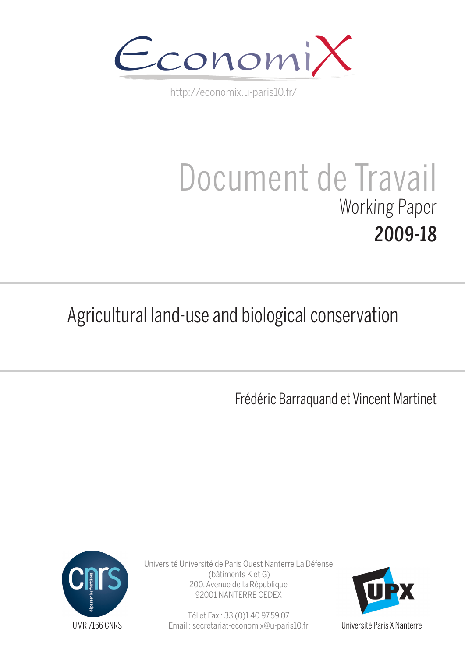

http://economix.u-paris10.fr/

# Document de Travail Working Paper 2009-18

## Agricultural land-use and biological conservation

Frédéric Barraquand et Vincent Martinet



Université Université de Paris Ouest Nanterre La Défense (bâtiments K et G) 200, Avenue de la République 92001 NANTERRE CEDEX

> Tél et Fax : 33.(0)1.40.97.59.07 Email : secretariat-economix@u-paris10.fr



Université Paris X Nanterre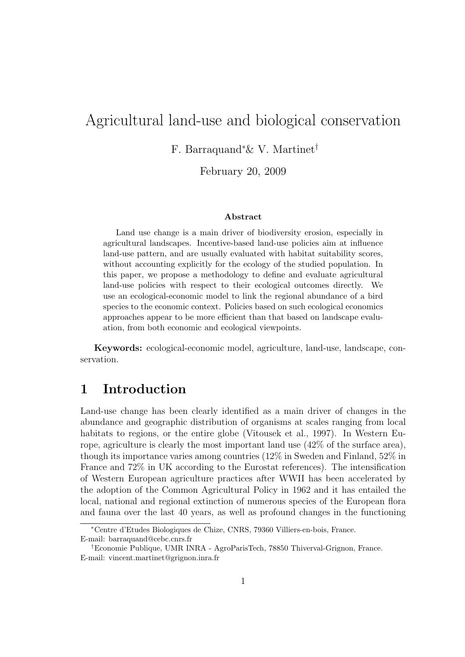## Agricultural land-use and biological conservation

F. Barraquand<sup>∗</sup>& V. Martinet†

February 20, 2009

#### Abstract

Land use change is a main driver of biodiversity erosion, especially in agricultural landscapes. Incentive-based land-use policies aim at influence land-use pattern, and are usually evaluated with habitat suitability scores, without accounting explicitly for the ecology of the studied population. In this paper, we propose a methodology to define and evaluate agricultural land-use policies with respect to their ecological outcomes directly. We use an ecological-economic model to link the regional abundance of a bird species to the economic context. Policies based on such ecological economics approaches appear to be more efficient than that based on landscape evaluation, from both economic and ecological viewpoints.

Keywords: ecological-economic model, agriculture, land-use, landscape, conservation.

## 1 Introduction

Land-use change has been clearly identified as a main driver of changes in the abundance and geographic distribution of organisms at scales ranging from local habitats to regions, or the entire globe (Vitousek et al., 1997). In Western Europe, agriculture is clearly the most important land use (42% of the surface area), though its importance varies among countries (12% in Sweden and Finland, 52% in France and 72% in UK according to the Eurostat references). The intensification of Western European agriculture practices after WWII has been accelerated by the adoption of the Common Agricultural Policy in 1962 and it has entailed the local, national and regional extinction of numerous species of the European flora and fauna over the last 40 years, as well as profound changes in the functioning

<sup>∗</sup>Centre d'Etudes Biologiques de Chize, CNRS, 79360 Villiers-en-bois, France. E-mail: barraquand@cebc.cnrs.fr

<sup>†</sup>Economie Publique, UMR INRA - AgroParisTech, 78850 Thiverval-Grignon, France. E-mail: vincent.martinet@grignon.inra.fr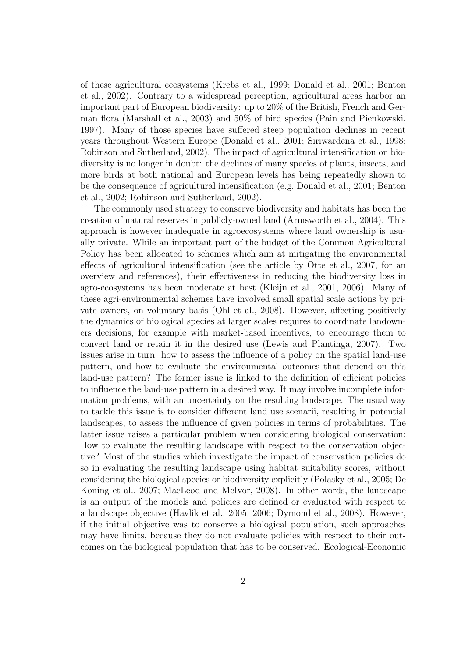of these agricultural ecosystems (Krebs et al., 1999; Donald et al., 2001; Benton et al., 2002). Contrary to a widespread perception, agricultural areas harbor an important part of European biodiversity: up to 20% of the British, French and German flora (Marshall et al., 2003) and 50% of bird species (Pain and Pienkowski, 1997). Many of those species have suffered steep population declines in recent years throughout Western Europe (Donald et al., 2001; Siriwardena et al., 1998; Robinson and Sutherland, 2002). The impact of agricultural intensification on biodiversity is no longer in doubt: the declines of many species of plants, insects, and more birds at both national and European levels has being repeatedly shown to be the consequence of agricultural intensification (e.g. Donald et al., 2001; Benton et al., 2002; Robinson and Sutherland, 2002).

The commonly used strategy to conserve biodiversity and habitats has been the creation of natural reserves in publicly-owned land (Armsworth et al., 2004). This approach is however inadequate in agroecosystems where land ownership is usually private. While an important part of the budget of the Common Agricultural Policy has been allocated to schemes which aim at mitigating the environmental effects of agricultural intensification (see the article by Otte et al., 2007, for an overview and references), their effectiveness in reducing the biodiversity loss in agro-ecosystems has been moderate at best (Kleijn et al., 2001, 2006). Many of these agri-environmental schemes have involved small spatial scale actions by private owners, on voluntary basis (Ohl et al., 2008). However, affecting positively the dynamics of biological species at larger scales requires to coordinate landowners decisions, for example with market-based incentives, to encourage them to convert land or retain it in the desired use (Lewis and Plantinga, 2007). Two issues arise in turn: how to assess the influence of a policy on the spatial land-use pattern, and how to evaluate the environmental outcomes that depend on this land-use pattern? The former issue is linked to the definition of efficient policies to influence the land-use pattern in a desired way. It may involve incomplete information problems, with an uncertainty on the resulting landscape. The usual way to tackle this issue is to consider different land use scenarii, resulting in potential landscapes, to assess the influence of given policies in terms of probabilities. The latter issue raises a particular problem when considering biological conservation: How to evaluate the resulting landscape with respect to the conservation objective? Most of the studies which investigate the impact of conservation policies do so in evaluating the resulting landscape using habitat suitability scores, without considering the biological species or biodiversity explicitly (Polasky et al., 2005; De Koning et al., 2007; MacLeod and McIvor, 2008). In other words, the landscape is an output of the models and policies are defined or evaluated with respect to a landscape objective (Havlik et al., 2005, 2006; Dymond et al., 2008). However, if the initial objective was to conserve a biological population, such approaches may have limits, because they do not evaluate policies with respect to their outcomes on the biological population that has to be conserved. Ecological-Economic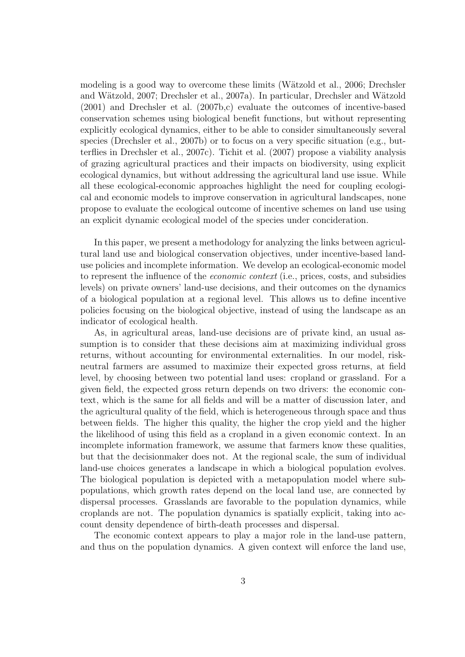modeling is a good way to overcome these limits (Wätzold et al., 2006; Drechsler and Wätzold, 2007; Drechsler et al., 2007a). In particular, Drechsler and Wätzold (2001) and Drechsler et al. (2007b,c) evaluate the outcomes of incentive-based conservation schemes using biological benefit functions, but without representing explicitly ecological dynamics, either to be able to consider simultaneously several species (Drechsler et al., 2007b) or to focus on a very specific situation (e.g., butterflies in Drechsler et al., 2007c). Tichit et al. (2007) propose a viability analysis of grazing agricultural practices and their impacts on biodiversity, using explicit ecological dynamics, but without addressing the agricultural land use issue. While all these ecological-economic approaches highlight the need for coupling ecological and economic models to improve conservation in agricultural landscapes, none propose to evaluate the ecological outcome of incentive schemes on land use using an explicit dynamic ecological model of the species under concideration.

In this paper, we present a methodology for analyzing the links between agricultural land use and biological conservation objectives, under incentive-based landuse policies and incomplete information. We develop an ecological-economic model to represent the influence of the economic context (i.e., prices, costs, and subsidies levels) on private owners' land-use decisions, and their outcomes on the dynamics of a biological population at a regional level. This allows us to define incentive policies focusing on the biological objective, instead of using the landscape as an indicator of ecological health.

As, in agricultural areas, land-use decisions are of private kind, an usual assumption is to consider that these decisions aim at maximizing individual gross returns, without accounting for environmental externalities. In our model, riskneutral farmers are assumed to maximize their expected gross returns, at field level, by choosing between two potential land uses: cropland or grassland. For a given field, the expected gross return depends on two drivers: the economic context, which is the same for all fields and will be a matter of discussion later, and the agricultural quality of the field, which is heterogeneous through space and thus between fields. The higher this quality, the higher the crop yield and the higher the likelihood of using this field as a cropland in a given economic context. In an incomplete information framework, we assume that farmers know these qualities, but that the decisionmaker does not. At the regional scale, the sum of individual land-use choices generates a landscape in which a biological population evolves. The biological population is depicted with a metapopulation model where subpopulations, which growth rates depend on the local land use, are connected by dispersal processes. Grasslands are favorable to the population dynamics, while croplands are not. The population dynamics is spatially explicit, taking into account density dependence of birth-death processes and dispersal.

The economic context appears to play a major role in the land-use pattern, and thus on the population dynamics. A given context will enforce the land use,

3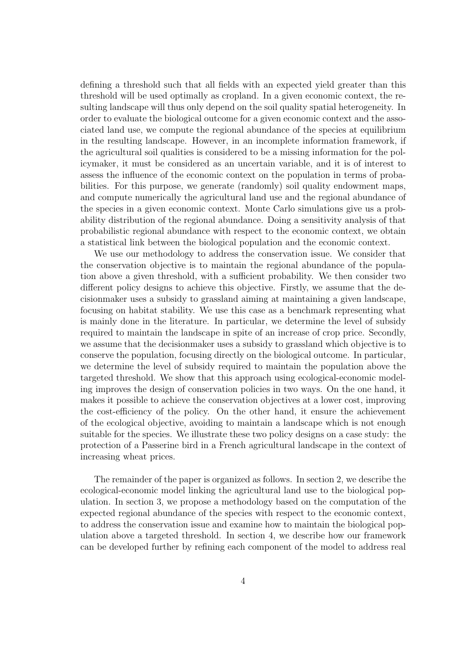defining a threshold such that all fields with an expected yield greater than this threshold will be used optimally as cropland. In a given economic context, the resulting landscape will thus only depend on the soil quality spatial heterogeneity. In order to evaluate the biological outcome for a given economic context and the associated land use, we compute the regional abundance of the species at equilibrium in the resulting landscape. However, in an incomplete information framework, if the agricultural soil qualities is considered to be a missing information for the policymaker, it must be considered as an uncertain variable, and it is of interest to assess the influence of the economic context on the population in terms of probabilities. For this purpose, we generate (randomly) soil quality endowment maps, and compute numerically the agricultural land use and the regional abundance of the species in a given economic context. Monte Carlo simulations give us a probability distribution of the regional abundance. Doing a sensitivity analysis of that probabilistic regional abundance with respect to the economic context, we obtain a statistical link between the biological population and the economic context.

We use our methodology to address the conservation issue. We consider that the conservation objective is to maintain the regional abundance of the population above a given threshold, with a sufficient probability. We then consider two different policy designs to achieve this objective. Firstly, we assume that the decisionmaker uses a subsidy to grassland aiming at maintaining a given landscape, focusing on habitat stability. We use this case as a benchmark representing what is mainly done in the literature. In particular, we determine the level of subsidy required to maintain the landscape in spite of an increase of crop price. Secondly, we assume that the decisionmaker uses a subsidy to grassland which objective is to conserve the population, focusing directly on the biological outcome. In particular, we determine the level of subsidy required to maintain the population above the targeted threshold. We show that this approach using ecological-economic modeling improves the design of conservation policies in two ways. On the one hand, it makes it possible to achieve the conservation objectives at a lower cost, improving the cost-efficiency of the policy. On the other hand, it ensure the achievement of the ecological objective, avoiding to maintain a landscape which is not enough suitable for the species. We illustrate these two policy designs on a case study: the protection of a Passerine bird in a French agricultural landscape in the context of increasing wheat prices.

The remainder of the paper is organized as follows. In section 2, we describe the ecological-economic model linking the agricultural land use to the biological population. In section 3, we propose a methodology based on the computation of the expected regional abundance of the species with respect to the economic context, to address the conservation issue and examine how to maintain the biological population above a targeted threshold. In section 4, we describe how our framework can be developed further by refining each component of the model to address real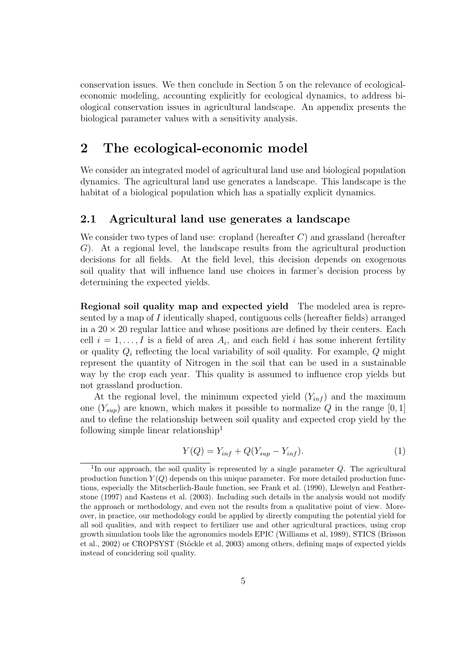conservation issues. We then conclude in Section 5 on the relevance of ecologicaleconomic modeling, accounting explicitly for ecological dynamics, to address biological conservation issues in agricultural landscape. An appendix presents the biological parameter values with a sensitivity analysis.

## 2 The ecological-economic model

We consider an integrated model of agricultural land use and biological population dynamics. The agricultural land use generates a landscape. This landscape is the habitat of a biological population which has a spatially explicit dynamics.

#### 2.1 Agricultural land use generates a landscape

We consider two types of land use: cropland (hereafter  $C$ ) and grassland (hereafter G). At a regional level, the landscape results from the agricultural production decisions for all fields. At the field level, this decision depends on exogenous soil quality that will influence land use choices in farmer's decision process by determining the expected yields.

Regional soil quality map and expected yield The modeled area is represented by a map of I identically shaped, contiguous cells (hereafter fields) arranged in a  $20 \times 20$  regular lattice and whose positions are defined by their centers. Each cell  $i = 1, \ldots, I$  is a field of area  $A_i$ , and each field i has some inherent fertility or quality  $Q_i$  reflecting the local variability of soil quality. For example,  $Q$  might represent the quantity of Nitrogen in the soil that can be used in a sustainable way by the crop each year. This quality is assumed to influence crop yields but not grassland production.

At the regional level, the minimum expected yield  $(Y_{inf})$  and the maximum one  $(Y_{\text{sub}})$  are known, which makes it possible to normalize Q in the range [0, 1] and to define the relationship between soil quality and expected crop yield by the following simple linear relationship<sup>1</sup>

$$
Y(Q) = Y_{inf} + Q(Y_{sup} - Y_{inf}).
$$
\n<sup>(1)</sup>

<sup>&</sup>lt;sup>1</sup>In our approach, the soil quality is represented by a single parameter  $Q$ . The agricultural production function  $Y(Q)$  depends on this unique parameter. For more detailed production functions, especially the Mitscherlich-Baule function, see Frank et al. (1990), Llewelyn and Featherstone (1997) and Kastens et al. (2003). Including such details in the analysis would not modify the approach or methodology, and even not the results from a qualitative point of view. Moreover, in practice, our methodology could be applied by directly computing the potential yield for all soil qualities, and with respect to fertilizer use and other agricultural practices, using crop growth simulation tools like the agronomics models EPIC (Williams et al, 1989), STICS (Brisson et al., 2002) or CROPSYST (Stöckle et al, 2003) among others, defining maps of expected yields instead of concidering soil quality.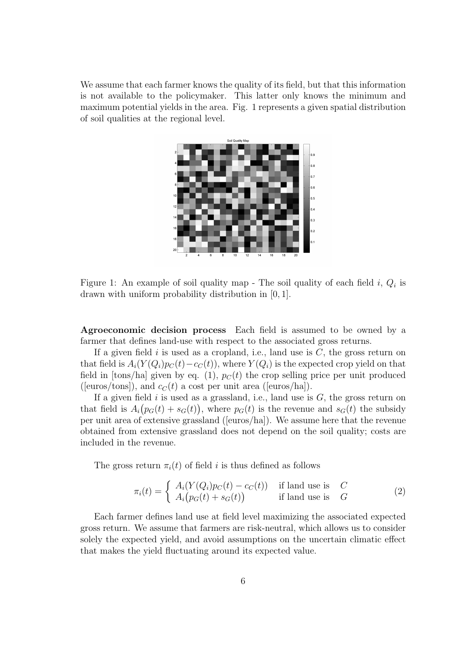We assume that each farmer knows the quality of its field, but that this information is not available to the policymaker. This latter only knows the minimum and maximum potential yields in the area. Fig. 1 represents a given spatial distribution of soil qualities at the regional level.



Figure 1: An example of soil quality map - The soil quality of each field  $i, Q_i$  is drawn with uniform probability distribution in [0, 1].

Agroeconomic decision process Each field is assumed to be owned by a farmer that defines land-use with respect to the associated gross returns.

If a given field i is used as a cropland, i.e., land use is  $C$ , the gross return on that field is  $A_i(Y(Q_i)p_C(t)-c_C(t))$ , where  $Y(Q_i)$  is the expected crop yield on that field in [tons/ha] given by eq. (1),  $p_C(t)$  the crop selling price per unit produced ([euros/tons]), and  $c_C(t)$  a cost per unit area ([euros/ha]).

If a given field i is used as a grassland, i.e., land use is  $G$ , the gross return on that field is  $A_i(p_G(t) + s_G(t))$ , where  $p_G(t)$  is the revenue and  $s_G(t)$  the subsidy per unit area of extensive grassland ([euros/ha]). We assume here that the revenue obtained from extensive grassland does not depend on the soil quality; costs are included in the revenue.

The gross return  $\pi_i(t)$  of field i is thus defined as follows

$$
\pi_i(t) = \begin{cases} A_i(Y(Q_i)p_C(t) - c_C(t)) & \text{if land use is } C\\ A_i(p_G(t) + s_G(t)) & \text{if land use is } G \end{cases}
$$
\n(2)

Each farmer defines land use at field level maximizing the associated expected gross return. We assume that farmers are risk-neutral, which allows us to consider solely the expected yield, and avoid assumptions on the uncertain climatic effect that makes the yield fluctuating around its expected value.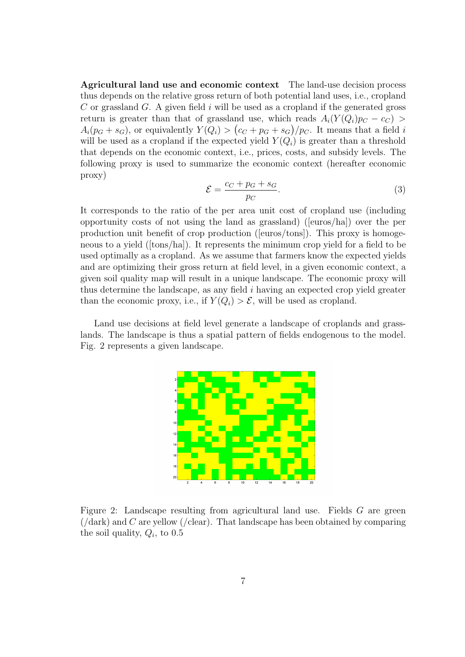Agricultural land use and economic context The land-use decision process thus depends on the relative gross return of both potential land uses, i.e., cropland C or grassland G. A given field i will be used as a cropland if the generated gross return is greater than that of grassland use, which reads  $A_i(Y(Q_i)p_C - c_C) >$  $A_i(p_G + s_G)$ , or equivalently  $Y(Q_i) > (c_C + p_G + s_G)/p_C$ . It means that a field i will be used as a cropland if the expected yield  $Y(Q_i)$  is greater than a threshold that depends on the economic context, i.e., prices, costs, and subsidy levels. The following proxy is used to summarize the economic context (hereafter economic proxy)

$$
\mathcal{E} = \frac{c_C + p_G + s_G}{p_C}.\tag{3}
$$

It corresponds to the ratio of the per area unit cost of cropland use (including opportunity costs of not using the land as grassland) ([euros/ha]) over the per production unit benefit of crop production ([euros/tons]). This proxy is homogeneous to a yield ([tons/ha]). It represents the minimum crop yield for a field to be used optimally as a cropland. As we assume that farmers know the expected yields and are optimizing their gross return at field level, in a given economic context, a given soil quality map will result in a unique landscape. The economic proxy will thus determine the landscape, as any field  $i$  having an expected crop yield greater than the economic proxy, i.e., if  $Y(Q_i) > \mathcal{E}$ , will be used as cropland.

Land use decisions at field level generate a landscape of croplands and grasslands. The landscape is thus a spatial pattern of fields endogenous to the model. Fig. 2 represents a given landscape.



Figure 2: Landscape resulting from agricultural land use. Fields G are green  $(\text{dark})$  and C are yellow (/clear). That landscape has been obtained by comparing the soil quality,  $Q_i$ , to 0.5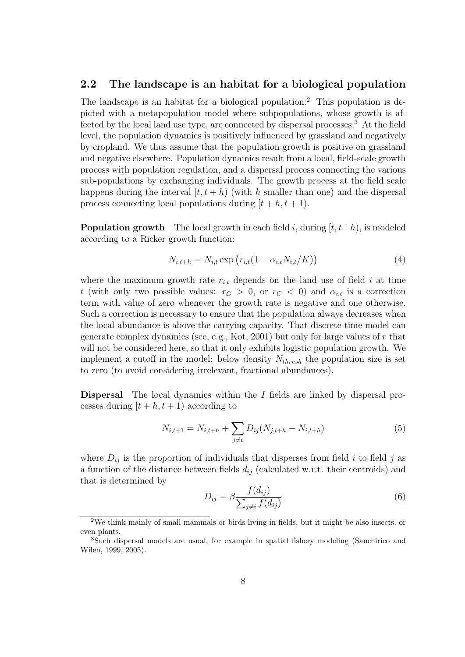#### 2.2 The landscape is an habitat for a biological population

The landscape is an habitat for a biological population.<sup>2</sup> This population is depicted with a metapopulation model where subpopulations, whose growth is affected by the local land use type, are connected by dispersal processes.<sup>3</sup> At the field level, the population dynamics is positively influenced by grassland and negatively by cropland. We thus assume that the population growth is positive on grassland and negative elsewhere. Population dynamics result from a local, field-scale growth process with population regulation, and a dispersal process connecting the various sub-populations by exchanging individuals. The growth process at the field scale happens during the interval  $[t, t + h)$  (with h smaller than one) and the dispersal process connecting local populations during  $[t + h, t + 1]$ .

**Population growth** The local growth in each field i, during  $[t, t+h)$ , is modeled according to a Ricker growth function:

$$
N_{i,t+h} = N_{i,t} \exp\left(r_{i,t}(1 - \alpha_{i,t} N_{i,t}/K)\right)
$$
\n(4)

where the maximum growth rate  $r_{i,t}$  depends on the land use of field i at time t (with only two possible values:  $r_G > 0$ , or  $r_C < 0$ ) and  $\alpha_{i,t}$  is a correction term with value of zero whenever the growth rate is negative and one otherwise. Such a correction is necessary to ensure that the population always decreases when the local abundance is above the carrying capacity. That discrete-time model can generate complex dynamics (see, e.g., Kot, 2001) but only for large values of  $r$  that will not be considered here, so that it only exhibits logistic population growth. We implement a cutoff in the model: below density  $N_{thresh}$  the population size is set to zero (to avoid considering irrelevant, fractional abundances).

Dispersal The local dynamics within the I fields are linked by dispersal processes during  $[t + h, t + 1]$  according to

$$
N_{i,t+1} = N_{i,t+h} + \sum_{j \neq i} D_{ij}(N_{j,t+h} - N_{i,t+h})
$$
\n(5)

where  $D_{ij}$  is the proportion of individuals that disperses from field i to field j as a function of the distance between fields  $d_{ij}$  (calculated w.r.t. their centroids) and that is determined by

$$
D_{ij} = \beta \frac{f(d_{ij})}{\sum_{j \neq i} f(d_{ij})}
$$
\n
$$
(6)
$$

<sup>2</sup>We think mainly of small mammals or birds living in fields, but it might be also insects, or even plants.

<sup>3</sup>Such dispersal models are usual, for example in spatial fishery modeling (Sanchirico and Wilen, 1999, 2005).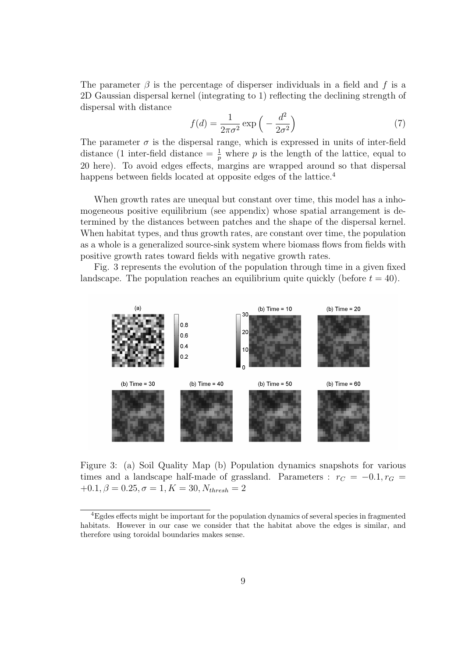The parameter  $\beta$  is the percentage of disperser individuals in a field and f is a 2D Gaussian dispersal kernel (integrating to 1) reflecting the declining strength of dispersal with distance

$$
f(d) = \frac{1}{2\pi\sigma^2} \exp\left(-\frac{d^2}{2\sigma^2}\right) \tag{7}
$$

The parameter  $\sigma$  is the dispersal range, which is expressed in units of inter-field distance (1 inter-field distance  $=\frac{1}{p}$  where p is the length of the lattice, equal to 20 here). To avoid edges effects, margins are wrapped around so that dispersal happens between fields located at opposite edges of the lattice.<sup>4</sup>

When growth rates are unequal but constant over time, this model has a inhomogeneous positive equilibrium (see appendix) whose spatial arrangement is determined by the distances between patches and the shape of the dispersal kernel. When habitat types, and thus growth rates, are constant over time, the population as a whole is a generalized source-sink system where biomass flows from fields with positive growth rates toward fields with negative growth rates.

Fig. 3 represents the evolution of the population through time in a given fixed landscape. The population reaches an equilibrium quite quickly (before  $t = 40$ ).



Figure 3: (a) Soil Quality Map (b) Population dynamics snapshots for various times and a landscape half-made of grassland. Parameters :  $r_C = -0.1, r_G =$  $+0.1, \beta = 0.25, \sigma = 1, K = 30, N_{thresh} = 2$ 

<sup>4</sup>Egdes effects might be important for the population dynamics of several species in fragmented habitats. However in our case we consider that the habitat above the edges is similar, and therefore using toroidal boundaries makes sense.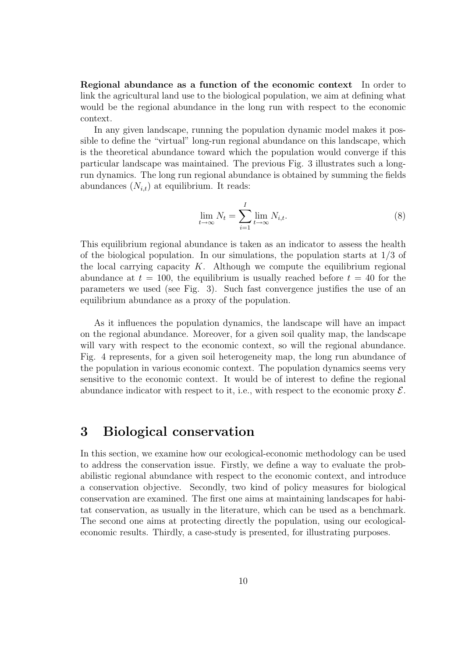Regional abundance as a function of the economic context In order to link the agricultural land use to the biological population, we aim at defining what would be the regional abundance in the long run with respect to the economic context.

In any given landscape, running the population dynamic model makes it possible to define the "virtual" long-run regional abundance on this landscape, which is the theoretical abundance toward which the population would converge if this particular landscape was maintained. The previous Fig. 3 illustrates such a longrun dynamics. The long run regional abundance is obtained by summing the fields abundances  $(N_{i,t})$  at equilibrium. It reads:

$$
\lim_{t \to \infty} N_t = \sum_{i=1}^I \lim_{t \to \infty} N_{i,t}.
$$
\n(8)

This equilibrium regional abundance is taken as an indicator to assess the health of the biological population. In our simulations, the population starts at  $1/3$  of the local carrying capacity  $K$ . Although we compute the equilibrium regional abundance at  $t = 100$ , the equilibrium is usually reached before  $t = 40$  for the parameters we used (see Fig. 3). Such fast convergence justifies the use of an equilibrium abundance as a proxy of the population.

As it influences the population dynamics, the landscape will have an impact on the regional abundance. Moreover, for a given soil quality map, the landscape will vary with respect to the economic context, so will the regional abundance. Fig. 4 represents, for a given soil heterogeneity map, the long run abundance of the population in various economic context. The population dynamics seems very sensitive to the economic context. It would be of interest to define the regional abundance indicator with respect to it, i.e., with respect to the economic proxy  $\mathcal{E}$ .

## 3 Biological conservation

In this section, we examine how our ecological-economic methodology can be used to address the conservation issue. Firstly, we define a way to evaluate the probabilistic regional abundance with respect to the economic context, and introduce a conservation objective. Secondly, two kind of policy measures for biological conservation are examined. The first one aims at maintaining landscapes for habitat conservation, as usually in the literature, which can be used as a benchmark. The second one aims at protecting directly the population, using our ecologicaleconomic results. Thirdly, a case-study is presented, for illustrating purposes.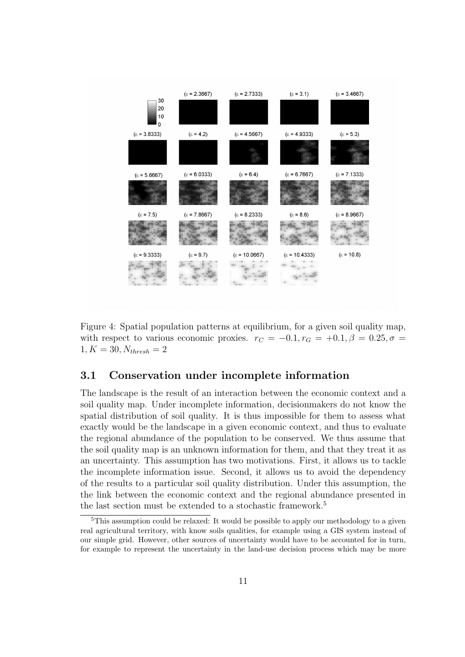

Figure 4: Spatial population patterns at equilibrium, for a given soil quality map, with respect to various economic proxies.  $r_C = -0.1, r_G = +0.1, \beta = 0.25, \sigma =$  $1, K = 30, N_{thresh} = 2$ 

#### 3.1 Conservation under incomplete information

The landscape is the result of an interaction between the economic context and a soil quality map. Under incomplete information, decisionmakers do not know the spatial distribution of soil quality. It is thus impossible for them to assess what exactly would be the landscape in a given economic context, and thus to evaluate the regional abundance of the population to be conserved. We thus assume that the soil quality map is an unknown information for them, and that they treat it as an uncertainty. This assumption has two motivations. First, it allows us to tackle the incomplete information issue. Second, it allows us to avoid the dependency of the results to a particular soil quality distribution. Under this assumption, the the link between the economic context and the regional abundance presented in the last section must be extended to a stochastic framework.<sup>5</sup>

 ${}^{5}$ This assumption could be relaxed: It would be possible to apply our methodology to a given real agricultural territory, with know soils qualities, for example using a GIS system instead of our simple grid. However, other sources of uncertainty would have to be accounted for in turn, for example to represent the uncertainty in the land-use decision process which may be more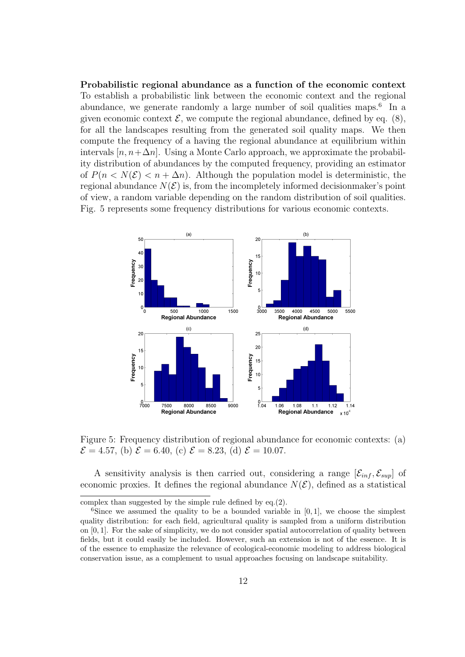Probabilistic regional abundance as a function of the economic context To establish a probabilistic link between the economic context and the regional abundance, we generate randomly a large number of soil qualities maps.<sup>6</sup> In a given economic context  $\mathcal{E}$ , we compute the regional abundance, defined by eq. (8), for all the landscapes resulting from the generated soil quality maps. We then compute the frequency of a having the regional abundance at equilibrium within intervals  $[n, n+\Delta n]$ . Using a Monte Carlo approach, we approximate the probability distribution of abundances by the computed frequency, providing an estimator of  $P(n < N(\mathcal{E}) < n + \Delta n)$ . Although the population model is deterministic, the regional abundance  $N(\mathcal{E})$  is, from the incompletely informed decisionmaker's point of view, a random variable depending on the random distribution of soil qualities. Fig. 5 represents some frequency distributions for various economic contexts.



Figure 5: Frequency distribution of regional abundance for economic contexts: (a)  $\mathcal{E} = 4.57$ , (b)  $\mathcal{E} = 6.40$ , (c)  $\mathcal{E} = 8.23$ , (d)  $\mathcal{E} = 10.07$ .

A sensitivity analysis is then carried out, considering a range  $[\mathcal{E}_{inf}, \mathcal{E}_{sup}]$  of economic proxies. It defines the regional abundance  $N(\mathcal{E})$ , defined as a statistical

complex than suggested by the simple rule defined by eq.(2).

<sup>&</sup>lt;sup>6</sup>Since we assumed the quality to be a bounded variable in  $[0, 1]$ , we choose the simplest quality distribution: for each field, agricultural quality is sampled from a uniform distribution on  $[0, 1]$ . For the sake of simplicity, we do not consider spatial autocorrelation of quality between fields, but it could easily be included. However, such an extension is not of the essence. It is of the essence to emphasize the relevance of ecological-economic modeling to address biological conservation issue, as a complement to usual approaches focusing on landscape suitability.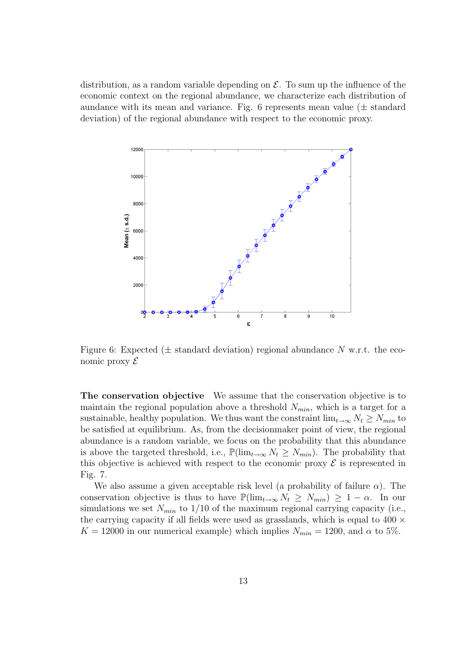distribution, as a random variable depending on  $\mathcal{E}$ . To sum up the influence of the economic context on the regional abundance, we characterize each distribution of aundance with its mean and variance. Fig. 6 represents mean value ( $\pm$  standard deviation) of the regional abundance with respect to the economic proxy.



Figure 6: Expected  $(\pm$  standard deviation) regional abundance N w.r.t. the economic proxy  $\mathcal E$ 

The conservation objective We assume that the conservation objective is to maintain the regional population above a threshold  $N_{min}$ , which is a target for a sustainable, healthy population. We thus want the constraint  $\lim_{t\to\infty} N_t \geq N_{min}$  to be satisfied at equilibrium. As, from the decisionmaker point of view, the regional abundance is a random variable, we focus on the probability that this abundance is above the targeted threshold, i.e.,  $\mathbb{P}(\lim_{t\to\infty} N_t \geq N_{min})$ . The probability that this objective is achieved with respect to the economic proxy  $\mathcal E$  is represented in Fig. 7.

We also assume a given acceptable risk level (a probability of failure  $\alpha$ ). The conservation objective is thus to have  $\mathbb{P}(\lim_{t\to\infty} N_t \geq N_{min}) \geq 1-\alpha$ . In our simulations we set  $N_{min}$  to 1/10 of the maximum regional carrying capacity (i.e., the carrying capacity if all fields were used as grasslands, which is equal to  $400 \times$  $K = 12000$  in our numerical example) which implies  $N_{min} = 1200$ , and  $\alpha$  to 5%.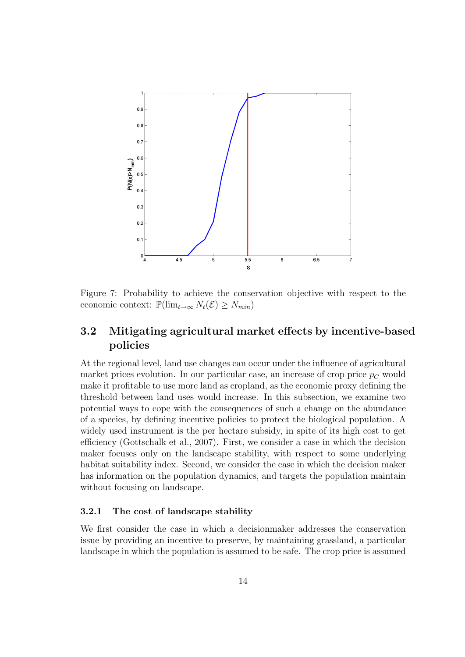

Figure 7: Probability to achieve the conservation objective with respect to the economic context:  $\mathbb{P}(\lim_{t\to\infty} N_t(\mathcal{E}) \geq N_{min})$ 

#### 3.2 Mitigating agricultural market effects by incentive-based policies

At the regional level, land use changes can occur under the influence of agricultural market prices evolution. In our particular case, an increase of crop price  $p<sub>C</sub>$  would make it profitable to use more land as cropland, as the economic proxy defining the threshold between land uses would increase. In this subsection, we examine two potential ways to cope with the consequences of such a change on the abundance of a species, by defining incentive policies to protect the biological population. A widely used instrument is the per hectare subsidy, in spite of its high cost to get efficiency (Gottschalk et al., 2007). First, we consider a case in which the decision maker focuses only on the landscape stability, with respect to some underlying habitat suitability index. Second, we consider the case in which the decision maker has information on the population dynamics, and targets the population maintain without focusing on landscape.

#### 3.2.1 The cost of landscape stability

We first consider the case in which a decisionmaker addresses the conservation issue by providing an incentive to preserve, by maintaining grassland, a particular landscape in which the population is assumed to be safe. The crop price is assumed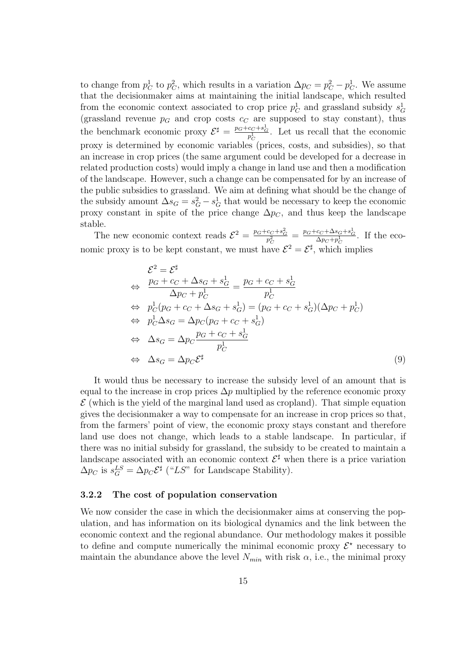to change from  $p_C^1$  to  $p_C^2$ , which results in a variation  $\Delta p_C = p_C^2 - p_C^1$ . We assume that the decisionmaker aims at maintaining the initial landscape, which resulted from the economic context associated to crop price  $p_C^1$  and grassland subsidy  $s_G^1$ (grassland revenue  $p<sub>G</sub>$  and crop costs  $c<sub>C</sub>$  are supposed to stay constant), thus the benchmark economic proxy  $\mathcal{E}^{\sharp} = \frac{p_G + c_C + s_G^1}{p_C^1}$ . Let us recall that the economic proxy is determined by economic variables (prices, costs, and subsidies), so that an increase in crop prices (the same argument could be developed for a decrease in related production costs) would imply a change in land use and then a modification of the landscape. However, such a change can be compensated for by an increase of the public subsidies to grassland. We aim at defining what should be the change of the subsidy amount  $\Delta s_G = s_G^2 - s_G^1$  that would be necessary to keep the economic proxy constant in spite of the price change  $\Delta p_C$ , and thus keep the landscape stable.

The new economic context reads  $\mathcal{E}^2 = \frac{p_G + c_C + s_G^2}{p_C^2} = \frac{p_G + c_C + \Delta s_G + s_G^1}{\Delta p_C + p_C^1}$ . If the economic proxy is to be kept constant, we must have  $\mathcal{E}^2 = \mathcal{E}^{\sharp}$ , which implies

$$
\mathcal{E}^{2} = \mathcal{E}^{\sharp}
$$
\n
$$
\Leftrightarrow \frac{p_{G} + c_{C} + \Delta s_{G} + s_{G}^{1}}{\Delta p_{C} + p_{C}^{1}} = \frac{p_{G} + c_{C} + s_{G}^{1}}{p_{C}^{1}}
$$
\n
$$
\Leftrightarrow p_{C}^{1}(p_{G} + c_{C} + \Delta s_{G} + s_{G}^{1}) = (p_{G} + c_{C} + s_{G}^{1})(\Delta p_{C} + p_{C}^{1})
$$
\n
$$
\Leftrightarrow p_{C}^{1}\Delta s_{G} = \Delta p_{C}(p_{G} + c_{C} + s_{G}^{1})
$$
\n
$$
\Leftrightarrow \Delta s_{G} = \Delta p_{C}\frac{p_{G} + c_{C} + s_{G}^{1}}{p_{C}^{1}}
$$
\n
$$
\Leftrightarrow \Delta s_{G} = \Delta p_{C}\mathcal{E}^{\sharp}
$$
\n(9)

It would thus be necessary to increase the subsidy level of an amount that is equal to the increase in crop prices  $\Delta p$  multiplied by the reference economic proxy  $\mathcal E$  (which is the yield of the marginal land used as cropland). That simple equation gives the decisionmaker a way to compensate for an increase in crop prices so that, from the farmers' point of view, the economic proxy stays constant and therefore land use does not change, which leads to a stable landscape. In particular, if there was no initial subsidy for grassland, the subsidy to be created to maintain a landscape associated with an economic context  $\mathcal{E}^{\sharp}$  when there is a price variation  $\Delta p_C$  is  $s_G^{LS} = \Delta p_C \mathcal{E}^{\sharp}$  ("LS" for Landscape Stability).

#### 3.2.2 The cost of population conservation

We now consider the case in which the decisionmaker aims at conserving the population, and has information on its biological dynamics and the link between the economic context and the regional abundance. Our methodology makes it possible to define and compute numerically the minimal economic proxy  $\mathcal{E}^*$  necessary to maintain the abundance above the level  $N_{min}$  with risk  $\alpha$ , i.e., the minimal proxy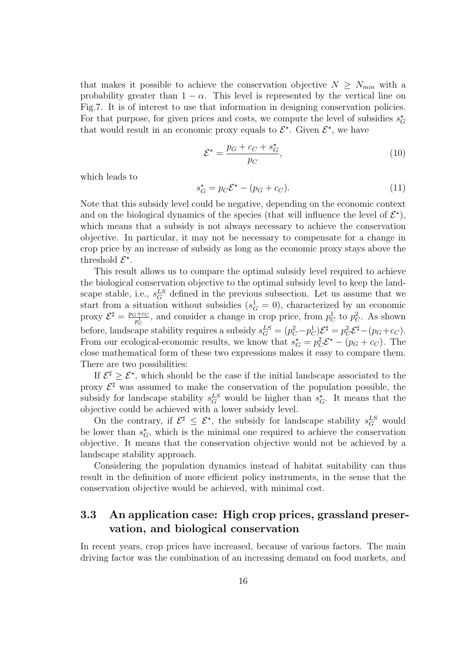that makes it possible to achieve the conservation objective  $N \geq N_{min}$  with a probability greater than  $1 - \alpha$ . This level is represented by the vertical line on Fig.7. It is of interest to use that information in designing conservation policies. For that purpose, for given prices and costs, we compute the level of subsidies  $s_G^{\star}$ that would result in an economic proxy equals to  $\mathcal{E}^*$ . Given  $\mathcal{E}^*$ , we have

$$
\mathcal{E}^{\star} = \frac{p_G + c_C + s_G^{\star}}{p_C},\tag{10}
$$

which leads to

$$
s_G^* = p_C \mathcal{E}^* - (p_G + c_C). \tag{11}
$$

Note that this subsidy level could be negative, depending on the economic context and on the biological dynamics of the species (that will influence the level of  $\mathcal{E}^{\star}$ ), which means that a subsidy is not always necessary to achieve the conservation objective. In particular, it may not be necessary to compensate for a change in crop price by an increase of subsidy as long as the economic proxy stays above the threshold  $\mathcal{E}^*$ .

This result allows us to compare the optimal subsidy level required to achieve the biological conservation objective to the optimal subsidy level to keep the landscape stable, i.e.,  $s_G^{LS}$  defined in the previous subsection. Let us assume that we start from a situation without subsidies  $(s_G^1 = 0)$ , characterized by an economic proxy  $\mathcal{E}^{\sharp} = \frac{p_G + c_C}{n^1}$  $p_C^{i+cc}$ , and consider a change in crop price, from  $p_C^1$  to  $p_C^2$ . As shown before, landscape stability requires a subsidy  $s_G^{LS} = (p_C^2 - p_C^1)\mathcal{E}^{\sharp} = p_C^2 \mathcal{E}^{\sharp} - (p_G + c_C)$ . From our ecological-economic results, we know that  $s_G^* = p_C^2 \mathcal{E}^* - (p_G + c_C)$ . The close mathematical form of these two expressions makes it easy to compare them. There are two possibilities:

If  $\mathcal{E}^{\sharp} \geq \mathcal{E}^*$ , which should be the case if the initial landscape associated to the proxy  $\mathcal{E}^{\sharp}$  was assumed to make the conservation of the population possible, the subsidy for landscape stability  $s_G^{LS}$  would be higher than  $s_G^*$ . It means that the objective could be achieved with a lower subsidy level.

On the contrary, if  $\mathcal{E}^{\sharp} \leq \mathcal{E}^{\star}$ , the subsidy for landscape stability  $s_G^{LS}$  would be lower than  $s_G^*$ , which is the minimal one required to achieve the conservation objective. It means that the conservation objective would not be achieved by a landscape stability approach.

Considering the population dynamics instead of habitat suitability can thus result in the definition of more efficient policy instruments, in the sense that the conservation objective would be achieved, with minimal cost.

### 3.3 An application case: High crop prices, grassland preservation, and biological conservation

In recent years, crop prices have increased, because of various factors. The main driving factor was the combination of an increasing demand on food markets, and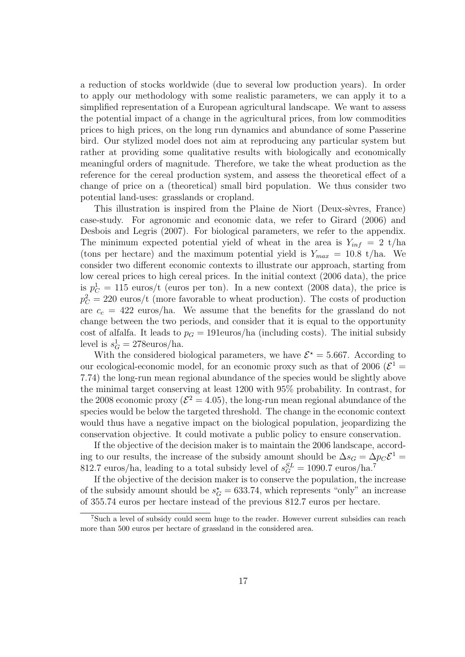a reduction of stocks worldwide (due to several low production years). In order to apply our methodology with some realistic parameters, we can apply it to a simplified representation of a European agricultural landscape. We want to assess the potential impact of a change in the agricultural prices, from low commodities prices to high prices, on the long run dynamics and abundance of some Passerine bird. Our stylized model does not aim at reproducing any particular system but rather at providing some qualitative results with biologically and economically meaningful orders of magnitude. Therefore, we take the wheat production as the reference for the cereal production system, and assess the theoretical effect of a change of price on a (theoretical) small bird population. We thus consider two potential land-uses: grasslands or cropland.

This illustration is inspired from the Plaine de Niort (Deux-sèvres, France) case-study. For agronomic and economic data, we refer to Girard (2006) and Desbois and Legris (2007). For biological parameters, we refer to the appendix. The minimum expected potential yield of wheat in the area is  $Y_{inf} = 2$  t/ha (tons per hectare) and the maximum potential yield is  $Y_{max} = 10.8$  t/ha. We consider two different economic contexts to illustrate our approach, starting from low cereal prices to high cereal prices. In the initial context (2006 data), the price is  $p_C^1 = 115$  euros/t (euros per ton). In a new context (2008 data), the price is  $p_C^2 = 220$  euros/t (more favorable to wheat production). The costs of production are  $c_c = 422$  euros/ha. We assume that the benefits for the grassland do not change between the two periods, and consider that it is equal to the opportunity cost of alfalfa. It leads to  $p<sub>G</sub> = 191$ euros/ha (including costs). The initial subsidy level is  $s_G^1 = 278$ euros/ha.

With the considered biological parameters, we have  $\mathcal{E}^* = 5.667$ . According to our ecological-economic model, for an economic proxy such as that of 2006 ( $\mathcal{E}^1$  = 7.74) the long-run mean regional abundance of the species would be slightly above the minimal target conserving at least 1200 with 95% probability. In contrast, for the 2008 economic proxy ( $\mathcal{E}^2 = 4.05$ ), the long-run mean regional abundance of the species would be below the targeted threshold. The change in the economic context would thus have a negative impact on the biological population, jeopardizing the conservation objective. It could motivate a public policy to ensure conservation.

If the objective of the decision maker is to maintain the 2006 landscape, according to our results, the increase of the subsidy amount should be  $\Delta s_G = \Delta p_C \mathcal{E}^1 =$ 812.7 euros/ha, leading to a total subsidy level of  $s_G^{SL} = 1090.7$  euros/ha.<sup>7</sup>

If the objective of the decision maker is to conserve the population, the increase of the subsidy amount should be  $s_G^* = 633.74$ , which represents "only" an increase of 355.74 euros per hectare instead of the previous 812.7 euros per hectare.

<sup>7</sup>Such a level of subsidy could seem huge to the reader. However current subsidies can reach more than 500 euros per hectare of grassland in the considered area.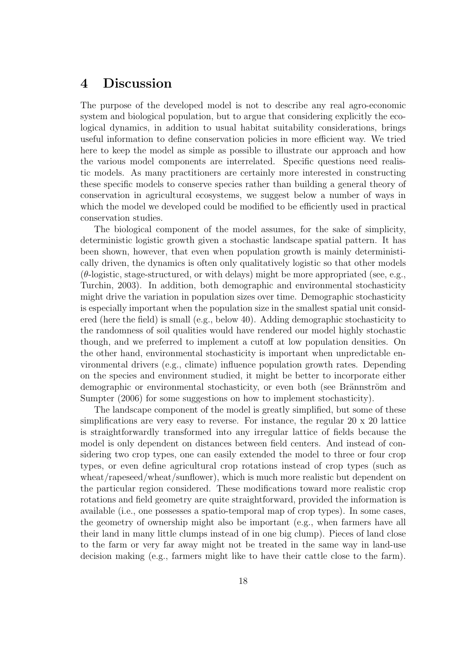## 4 Discussion

The purpose of the developed model is not to describe any real agro-economic system and biological population, but to argue that considering explicitly the ecological dynamics, in addition to usual habitat suitability considerations, brings useful information to define conservation policies in more efficient way. We tried here to keep the model as simple as possible to illustrate our approach and how the various model components are interrelated. Specific questions need realistic models. As many practitioners are certainly more interested in constructing these specific models to conserve species rather than building a general theory of conservation in agricultural ecosystems, we suggest below a number of ways in which the model we developed could be modified to be efficiently used in practical conservation studies.

The biological component of the model assumes, for the sake of simplicity, deterministic logistic growth given a stochastic landscape spatial pattern. It has been shown, however, that even when population growth is mainly deterministically driven, the dynamics is often only qualitatively logistic so that other models  $(\theta$ -logistic, stage-structured, or with delays) might be more appropriated (see, e.g., Turchin, 2003). In addition, both demographic and environmental stochasticity might drive the variation in population sizes over time. Demographic stochasticity is especially important when the population size in the smallest spatial unit considered (here the field) is small (e.g., below 40). Adding demographic stochasticity to the randomness of soil qualities would have rendered our model highly stochastic though, and we preferred to implement a cutoff at low population densities. On the other hand, environmental stochasticity is important when unpredictable environmental drivers (e.g., climate) influence population growth rates. Depending on the species and environment studied, it might be better to incorporate either demographic or environmental stochasticity, or even both (see Brännström and Sumpter (2006) for some suggestions on how to implement stochasticity).

The landscape component of the model is greatly simplified, but some of these simplifications are very easy to reverse. For instance, the regular 20 x 20 lattice is straightforwardly transformed into any irregular lattice of fields because the model is only dependent on distances between field centers. And instead of considering two crop types, one can easily extended the model to three or four crop types, or even define agricultural crop rotations instead of crop types (such as wheat/rapeseed/wheat/sunflower), which is much more realistic but dependent on the particular region considered. These modifications toward more realistic crop rotations and field geometry are quite straightforward, provided the information is available (i.e., one possesses a spatio-temporal map of crop types). In some cases, the geometry of ownership might also be important (e.g., when farmers have all their land in many little clumps instead of in one big clump). Pieces of land close to the farm or very far away might not be treated in the same way in land-use decision making (e.g., farmers might like to have their cattle close to the farm).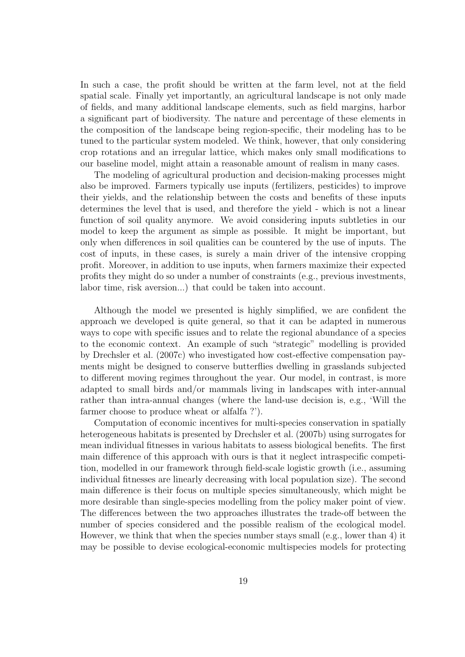In such a case, the profit should be written at the farm level, not at the field spatial scale. Finally yet importantly, an agricultural landscape is not only made of fields, and many additional landscape elements, such as field margins, harbor a significant part of biodiversity. The nature and percentage of these elements in the composition of the landscape being region-specific, their modeling has to be tuned to the particular system modeled. We think, however, that only considering crop rotations and an irregular lattice, which makes only small modifications to our baseline model, might attain a reasonable amount of realism in many cases.

The modeling of agricultural production and decision-making processes might also be improved. Farmers typically use inputs (fertilizers, pesticides) to improve their yields, and the relationship between the costs and benefits of these inputs determines the level that is used, and therefore the yield - which is not a linear function of soil quality anymore. We avoid considering inputs subtleties in our model to keep the argument as simple as possible. It might be important, but only when differences in soil qualities can be countered by the use of inputs. The cost of inputs, in these cases, is surely a main driver of the intensive cropping profit. Moreover, in addition to use inputs, when farmers maximize their expected profits they might do so under a number of constraints (e.g., previous investments, labor time, risk aversion...) that could be taken into account.

Although the model we presented is highly simplified, we are confident the approach we developed is quite general, so that it can be adapted in numerous ways to cope with specific issues and to relate the regional abundance of a species to the economic context. An example of such "strategic" modelling is provided by Drechsler et al. (2007c) who investigated how cost-effective compensation payments might be designed to conserve butterflies dwelling in grasslands subjected to different moving regimes throughout the year. Our model, in contrast, is more adapted to small birds and/or mammals living in landscapes with inter-annual rather than intra-annual changes (where the land-use decision is, e.g., 'Will the farmer choose to produce wheat or alfalfa ?').

Computation of economic incentives for multi-species conservation in spatially heterogeneous habitats is presented by Drechsler et al. (2007b) using surrogates for mean individual fitnesses in various habitats to assess biological benefits. The first main difference of this approach with ours is that it neglect intraspecific competition, modelled in our framework through field-scale logistic growth (i.e., assuming individual fitnesses are linearly decreasing with local population size). The second main difference is their focus on multiple species simultaneously, which might be more desirable than single-species modelling from the policy maker point of view. The differences between the two approaches illustrates the trade-off between the number of species considered and the possible realism of the ecological model. However, we think that when the species number stays small (e.g., lower than 4) it may be possible to devise ecological-economic multispecies models for protecting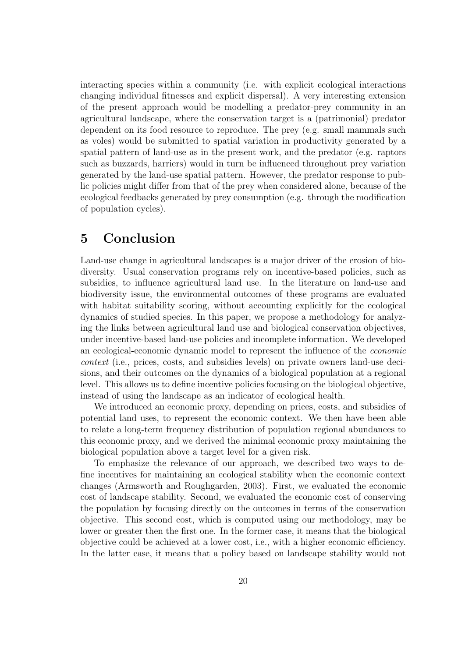interacting species within a community (i.e. with explicit ecological interactions changing individual fitnesses and explicit dispersal). A very interesting extension of the present approach would be modelling a predator-prey community in an agricultural landscape, where the conservation target is a (patrimonial) predator dependent on its food resource to reproduce. The prey (e.g. small mammals such as voles) would be submitted to spatial variation in productivity generated by a spatial pattern of land-use as in the present work, and the predator (e.g. raptors such as buzzards, harriers) would in turn be influenced throughout prey variation generated by the land-use spatial pattern. However, the predator response to public policies might differ from that of the prey when considered alone, because of the ecological feedbacks generated by prey consumption (e.g. through the modification of population cycles).

## 5 Conclusion

Land-use change in agricultural landscapes is a major driver of the erosion of biodiversity. Usual conservation programs rely on incentive-based policies, such as subsidies, to influence agricultural land use. In the literature on land-use and biodiversity issue, the environmental outcomes of these programs are evaluated with habitat suitability scoring, without accounting explicitly for the ecological dynamics of studied species. In this paper, we propose a methodology for analyzing the links between agricultural land use and biological conservation objectives, under incentive-based land-use policies and incomplete information. We developed an ecological-economic dynamic model to represent the influence of the economic context (i.e., prices, costs, and subsidies levels) on private owners land-use decisions, and their outcomes on the dynamics of a biological population at a regional level. This allows us to define incentive policies focusing on the biological objective, instead of using the landscape as an indicator of ecological health.

We introduced an economic proxy, depending on prices, costs, and subsidies of potential land uses, to represent the economic context. We then have been able to relate a long-term frequency distribution of population regional abundances to this economic proxy, and we derived the minimal economic proxy maintaining the biological population above a target level for a given risk.

To emphasize the relevance of our approach, we described two ways to define incentives for maintaining an ecological stability when the economic context changes (Armsworth and Roughgarden, 2003). First, we evaluated the economic cost of landscape stability. Second, we evaluated the economic cost of conserving the population by focusing directly on the outcomes in terms of the conservation objective. This second cost, which is computed using our methodology, may be lower or greater then the first one. In the former case, it means that the biological objective could be achieved at a lower cost, i.e., with a higher economic efficiency. In the latter case, it means that a policy based on landscape stability would not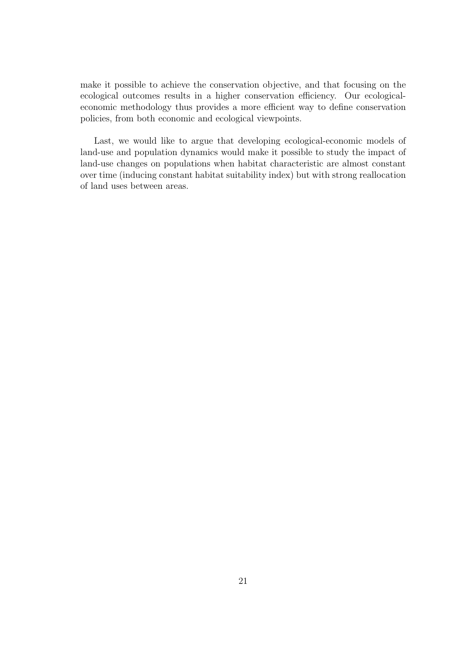make it possible to achieve the conservation objective, and that focusing on the ecological outcomes results in a higher conservation efficiency. Our ecologicaleconomic methodology thus provides a more efficient way to define conservation policies, from both economic and ecological viewpoints.

Last, we would like to argue that developing ecological-economic models of land-use and population dynamics would make it possible to study the impact of land-use changes on populations when habitat characteristic are almost constant over time (inducing constant habitat suitability index) but with strong reallocation of land uses between areas.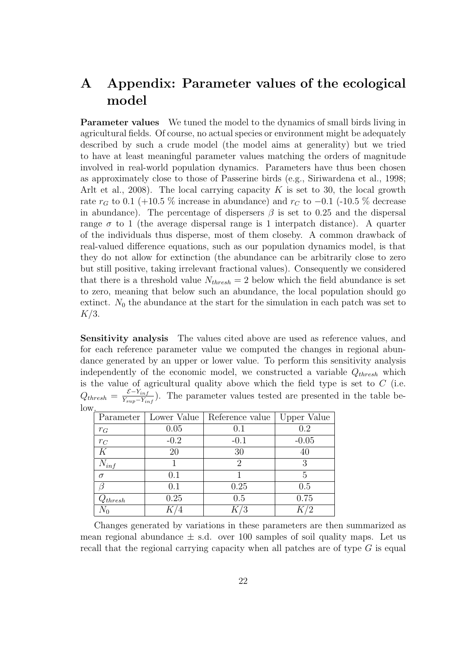## A Appendix: Parameter values of the ecological model

**Parameter values** We tuned the model to the dynamics of small birds living in agricultural fields. Of course, no actual species or environment might be adequately described by such a crude model (the model aims at generality) but we tried to have at least meaningful parameter values matching the orders of magnitude involved in real-world population dynamics. Parameters have thus been chosen as approximately close to those of Passerine birds (e.g., Siriwardena et al., 1998; Arlt et al., 2008). The local carrying capacity K is set to 30, the local growth rate  $r_G$  to 0.1 (+10.5 % increase in abundance) and  $r_C$  to -0.1 (-10.5 % decrease in abundance). The percentage of dispersers  $\beta$  is set to 0.25 and the dispersal range  $\sigma$  to 1 (the average dispersal range is 1 interpatch distance). A quarter of the individuals thus disperse, most of them closeby. A common drawback of real-valued difference equations, such as our population dynamics model, is that they do not allow for extinction (the abundance can be arbitrarily close to zero but still positive, taking irrelevant fractional values). Consequently we considered that there is a threshold value  $N_{thresh} = 2$  below which the field abundance is set to zero, meaning that below such an abundance, the local population should go extinct.  $N_0$  the abundance at the start for the simulation in each patch was set to  $K/3$ .

Sensitivity analysis The values cited above are used as reference values, and for each reference parameter value we computed the changes in regional abundance generated by an upper or lower value. To perform this sensitivity analysis independently of the economic model, we constructed a variable  $Q_{thresh}$  which is the value of agricultural quality above which the field type is set to  $C$  (i.e.  $Q_{thresh} = \frac{\mathcal{E}-Y_{inf}}{Y_{sum}-Y_{in}}$  $\frac{C-I_{inf}}{Y_{sup}-Y_{inf}}$ ). The parameter values tested are presented in the table below.

|              |        | Parameter   Lower Value   Reference value | Upper Value |
|--------------|--------|-------------------------------------------|-------------|
| $r_G$        | 0.05   | 0.1                                       | 0.2         |
| $r_C$        | $-0.2$ | $-0.1$                                    | $-0.05$     |
| K            | 20     | 30                                        |             |
| $N_{inf}$    |        | $\mathcal{D}_{\mathcal{L}}$               | 3           |
| $\sigma$     | 0.1    |                                           | 5           |
|              | 0.1    | 0.25                                      | 0.5         |
| $Q_{thresh}$ | 0.25   | 0.5                                       | 0.75        |
|              |        |                                           |             |

Changes generated by variations in these parameters are then summarized as mean regional abundance  $\pm$  s.d. over 100 samples of soil quality maps. Let us recall that the regional carrying capacity when all patches are of type  $G$  is equal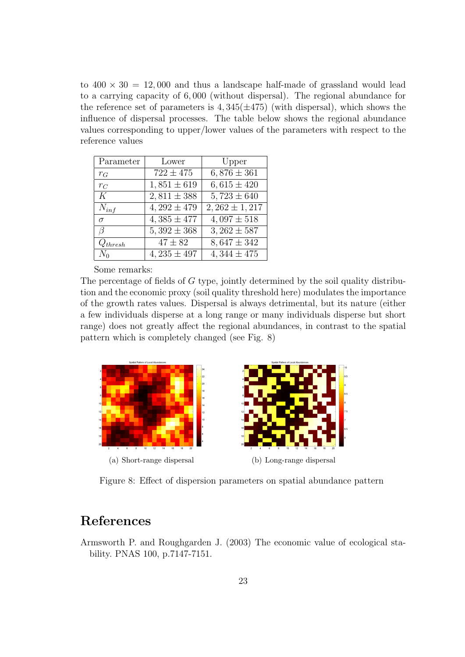to  $400 \times 30 = 12{,}000$  and thus a landscape half-made of grassland would lead to a carrying capacity of 6, 000 (without dispersal). The regional abundance for the reference set of parameters is  $4,345(\pm 475)$  (with dispersal), which shows the influence of dispersal processes. The table below shows the regional abundance values corresponding to upper/lower values of the parameters with respect to the reference values

| Parameter    | Lower           | Upper                      |
|--------------|-----------------|----------------------------|
| $r_G$        | $722 \pm 475$   | $6,876 \pm 361$            |
| $r_C$        | $1,851 \pm 619$ | $6,615 \pm 420$            |
| K            | $2,811 \pm 388$ | $\overline{5,723} \pm 640$ |
| $N_{inf}$    | $4,292 \pm 479$ | $2,262 \pm 1,217$          |
| $\sigma$     | $4,385 \pm 477$ | $4.097 \pm 518$            |
| 7            | $5,392 \pm 368$ | $3,262 \pm 587$            |
| $Q_{thresh}$ | $47 \pm 82$     | $8,647 \pm 342$            |
| $N_0$        | $4,235 \pm 497$ | $4,344 \pm 475$            |

Some remarks:

The percentage of fields of  $G$  type, jointly determined by the soil quality distribution and the economic proxy (soil quality threshold here) modulates the importance of the growth rates values. Dispersal is always detrimental, but its nature (either a few individuals disperse at a long range or many individuals disperse but short range) does not greatly affect the regional abundances, in contrast to the spatial pattern which is completely changed (see Fig. 8)



Figure 8: Effect of dispersion parameters on spatial abundance pattern

## References

Armsworth P. and Roughgarden J. (2003) The economic value of ecological stability. PNAS 100, p.7147-7151.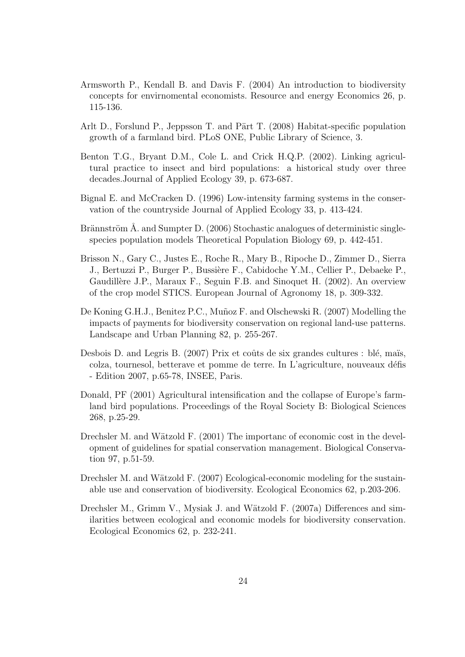- Armsworth P., Kendall B. and Davis F. (2004) An introduction to biodiversity concepts for envirnomental economists. Resource and energy Economics 26, p. 115-136.
- Arlt D., Forslund P., Jeppsson T. and Pärt T. (2008) Habitat-specific population growth of a farmland bird. PLoS ONE, Public Library of Science, 3.
- Benton T.G., Bryant D.M., Cole L. and Crick H.Q.P. (2002). Linking agricultural practice to insect and bird populations: a historical study over three decades.Journal of Applied Ecology 39, p. 673-687.
- Bignal E. and McCracken D. (1996) Low-intensity farming systems in the conservation of the countryside Journal of Applied Ecology 33, p. 413-424.
- Brännström  $\AA$ . and Sumpter D. (2006) Stochastic analogues of deterministic singlespecies population models Theoretical Population Biology 69, p. 442-451.
- Brisson N., Gary C., Justes E., Roche R., Mary B., Ripoche D., Zimmer D., Sierra J., Bertuzzi P., Burger P., Bussière F., Cabidoche Y.M., Cellier P., Debaeke P., Gaudillère J.P., Maraux F., Seguin F.B. and Sinoquet H. (2002). An overview of the crop model STICS. European Journal of Agronomy 18, p. 309-332.
- De Koning G.H.J., Benitez P.C., Muñoz F. and Olschewski R. (2007) Modelling the impacts of payments for biodiversity conservation on regional land-use patterns. Landscape and Urban Planning 82, p. 255-267.
- Desbois D. and Legris B.  $(2007)$  Prix et coûts de six grandes cultures : blé, maïs, colza, tournesol, betterave et pomme de terre. In L'agriculture, nouveaux d´efis - Edition 2007, p.65-78, INSEE, Paris.
- Donald, PF (2001) Agricultural intensification and the collapse of Europe's farmland bird populations. Proceedings of the Royal Society B: Biological Sciences 268, p.25-29.
- Drechsler M. and Wätzold F.  $(2001)$  The importanc of economic cost in the development of guidelines for spatial conservation management. Biological Conservation 97, p.51-59.
- Drechsler M. and Wätzold F.  $(2007)$  Ecological-economic modeling for the sustainable use and conservation of biodiversity. Ecological Economics 62, p.203-206.
- Drechsler M., Grimm V., Mysiak J. and Wätzold F. (2007a) Differences and similarities between ecological and economic models for biodiversity conservation. Ecological Economics 62, p. 232-241.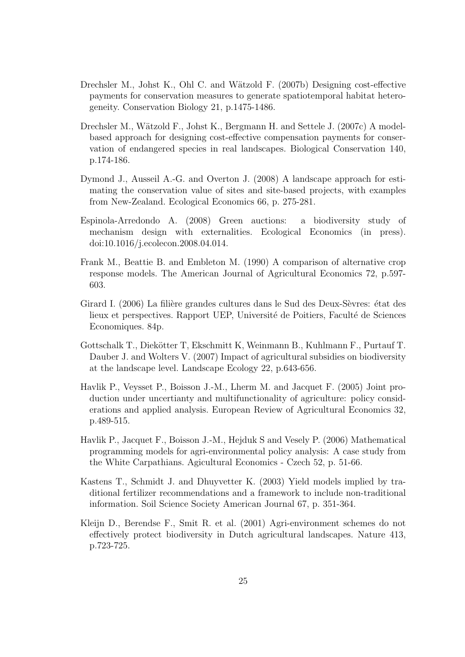- Drechsler M., Johst K., Ohl C. and Wätzold F. (2007b) Designing cost-effective payments for conservation measures to generate spatiotemporal habitat heterogeneity. Conservation Biology 21, p.1475-1486.
- Drechsler M., Wätzold F., Johst K., Bergmann H. and Settele J. (2007c) A modelbased approach for designing cost-effective compensation payments for conservation of endangered species in real landscapes. Biological Conservation 140, p.174-186.
- Dymond J., Ausseil A.-G. and Overton J. (2008) A landscape approach for estimating the conservation value of sites and site-based projects, with examples from New-Zealand. Ecological Economics 66, p. 275-281.
- Espinola-Arredondo A. (2008) Green auctions: a biodiversity study of mechanism design with externalities. Ecological Economics (in press). doi:10.1016/j.ecolecon.2008.04.014.
- Frank M., Beattie B. and Embleton M. (1990) A comparison of alternative crop response models. The American Journal of Agricultural Economics 72, p.597- 603.
- Girard I. (2006) La filière grandes cultures dans le Sud des Deux-Sèvres: état des lieux et perspectives. Rapport UEP, Université de Poitiers, Faculté de Sciences Economiques. 84p.
- Gottschalk T., Diekötter T. Ekschmitt K. Weinmann B., Kuhlmann F., Purtauf T. Dauber J. and Wolters V. (2007) Impact of agricultural subsidies on biodiversity at the landscape level. Landscape Ecology 22, p.643-656.
- Havlik P., Veysset P., Boisson J.-M., Lherm M. and Jacquet F. (2005) Joint production under uncertianty and multifunctionality of agriculture: policy considerations and applied analysis. European Review of Agricultural Economics 32, p.489-515.
- Havlik P., Jacquet F., Boisson J.-M., Hejduk S and Vesely P. (2006) Mathematical programming models for agri-environmental policy analysis: A case study from the White Carpathians. Agicultural Economics - Czech 52, p. 51-66.
- Kastens T., Schmidt J. and Dhuyvetter K. (2003) Yield models implied by traditional fertilizer recommendations and a framework to include non-traditional information. Soil Science Society American Journal 67, p. 351-364.
- Kleijn D., Berendse F., Smit R. et al. (2001) Agri-environment schemes do not effectively protect biodiversity in Dutch agricultural landscapes. Nature 413, p.723-725.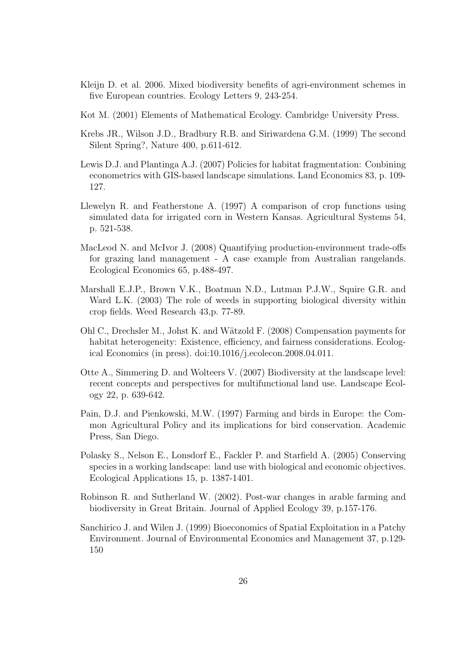- Kleijn D. et al. 2006. Mixed biodiversity benefits of agri-environment schemes in five European countries. Ecology Letters 9, 243-254.
- Kot M. (2001) Elements of Mathematical Ecology. Cambridge University Press.
- Krebs JR., Wilson J.D., Bradbury R.B. and Siriwardena G.M. (1999) The second Silent Spring?, Nature 400, p.611-612.
- Lewis D.J. and Plantinga A.J. (2007) Policies for habitat fragmentation: Conbining econometrics with GIS-based landscape simulations. Land Economics 83, p. 109- 127.
- Llewelyn R. and Featherstone A. (1997) A comparison of crop functions using simulated data for irrigated corn in Western Kansas. Agricultural Systems 54, p. 521-538.
- MacLeod N. and McIvor J. (2008) Quantifying production-environment trade-offs for grazing land management - A case example from Australian rangelands. Ecological Economics 65, p.488-497.
- Marshall E.J.P., Brown V.K., Boatman N.D., Lutman P.J.W., Squire G.R. and Ward L.K. (2003) The role of weeds in supporting biological diversity within crop fields. Weed Research 43,p. 77-89.
- Ohl C., Drechsler M., Johst K. and Wätzold F. (2008) Compensation payments for habitat heterogeneity: Existence, efficiency, and fairness considerations. Ecological Economics (in press). doi:10.1016/j.ecolecon.2008.04.011.
- Otte A., Simmering D. and Wolteers V. (2007) Biodiversity at the landscape level: recent concepts and perspectives for multifunctional land use. Landscape Ecology 22, p. 639-642.
- Pain, D.J. and Pienkowski, M.W. (1997) Farming and birds in Europe: the Common Agricultural Policy and its implications for bird conservation. Academic Press, San Diego.
- Polasky S., Nelson E., Lonsdorf E., Fackler P. and Starfield A. (2005) Conserving species in a working landscape: land use with biological and economic objectives. Ecological Applications 15, p. 1387-1401.
- Robinson R. and Sutherland W. (2002). Post-war changes in arable farming and biodiversity in Great Britain. Journal of Applied Ecology 39, p.157-176.
- Sanchirico J. and Wilen J. (1999) Bioeconomics of Spatial Exploitation in a Patchy Environment. Journal of Environmental Economics and Management 37, p.129- 150